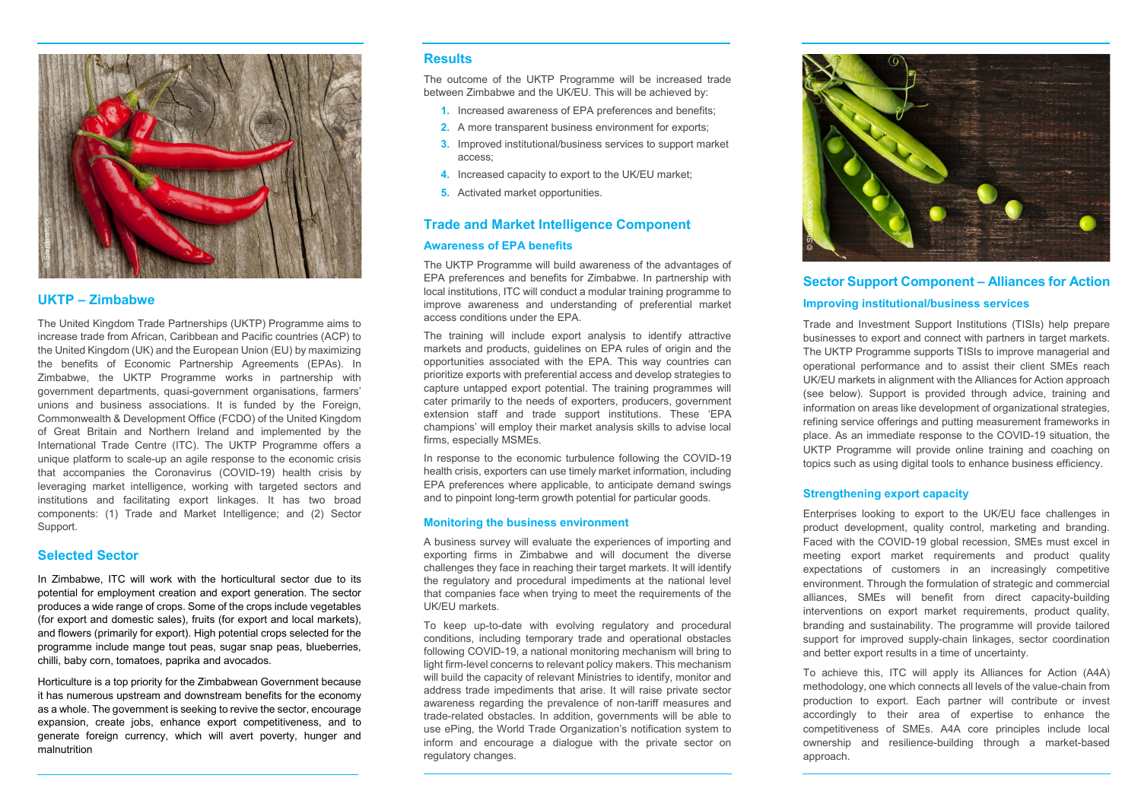#### **Results**

- **1.** Increased awareness of EPA preferences and benefits;
- **2.** A more transparent business environment for exports;
- **3.** Improved institutional/business services to support market access;
- **4.** Increased capacity to export to the UK/EU market;
- **5.** Activated market opportunities.

The outcome of the UKTP Programme will be increased trade between Zimbabwe and the UK/EU. This will be achieved by:

#### **Trade and Market Intelligence Component**

#### **Awareness of EPA benefits**

The UKTP Programme will build awareness of the advantages of EPA preferences and benefits for Zimbabwe. In partnership with local institutions, ITC will conduct a modular training programme to improve awareness and understanding of preferential market access conditions under the EPA.

The training will include export analysis to identify attractive markets and products, guidelines on EPA rules of origin and the opportunities associated with the EPA. This way countries can prioritize exports with preferential access and develop strategies to capture untapped export potential. The training programmes will cater primarily to the needs of exporters, producers, government extension staff and trade support institutions. These 'EPA champions' will employ their market analysis skills to advise local firms, especially MSMEs.

In response to the economic turbulence following the COVID-19 health crisis, exporters can use timely market information, including EPA preferences where applicable, to anticipate demand swings and to pinpoint long-term growth potential for particular goods.

#### **Monitoring the business environment**

A business survey will evaluate the experiences of importing and exporting firms in Zimbabwe and will document the diverse challenges they face in reaching their target markets. It will identify the regulatory and procedural impediments at the national level that companies face when trying to meet the requirements of the UK/EU markets.

To keep up-to-date with evolving regulatory and procedural conditions, including temporary trade and operational obstacles following COVID-19, a national monitoring mechanism will bring to light firm-level concerns to relevant policy makers. This mechanism will build the capacity of relevant Ministries to identify, monitor and address trade impediments that arise. It will raise private sector awareness regarding the prevalence of non-tariff measures and trade-related obstacles. In addition, governments will be able to use ePing, the World Trade Organization's notification system to inform and encourage a dialogue with the private sector on regulatory changes.

### **UKTP – Zimbabwe**

The United Kingdom Trade Partnerships (UKTP) Programme aims to increase trade from African, Caribbean and Pacific countries (ACP) to the United Kingdom (UK) and the European Union (EU) by maximizing the benefits of Economic Partnership Agreements (EPAs). In Zimbabwe, the UKTP Programme works in partnership with government departments, quasi-government organisations, farmers' unions and business associations. It is funded by the Foreign, Commonwealth & Development Office (FCDO) of the United Kingdom of Great Britain and Northern Ireland and implemented by the International Trade Centre (ITC). The UKTP Programme offers a unique platform to scale-up an agile response to the economic crisis that accompanies the Coronavirus (COVID-19) health crisis by leveraging market intelligence, working with targeted sectors and institutions and facilitating export linkages. It has two broad components: (1) Trade and Market Intelligence; and (2) Sector Support.

#### **Selected Sector**

In Zimbabwe, ITC will work with the horticultural sector due to its potential for employment creation and export generation. The sector produces a wide range of crops. Some of the crops include vegetables (for export and domestic sales), fruits (for export and local markets), and flowers (primarily for export). High potential crops selected for the programme include mange tout peas, sugar snap peas, blueberries, chilli, baby corn, tomatoes, paprika and avocados.

Horticulture is a top priority for the Zimbabwean Government because it has numerous upstream and downstream benefits for the economy as a whole. The government is seeking to revive the sector, encourage expansion, create jobs, enhance export competitiveness, and to generate foreign currency, which will avert poverty, hunger and malnutrition

## **Sector Support Component – Alliances for Action Improving institutional/business services**

Trade and Investment Support Institutions (TISIs) help prepare businesses to export and connect with partners in target markets. The UKTP Programme supports TISIs to improve managerial and operational performance and to assist their client SMEs reach UK/EU markets in alignment with the Alliances for Action approach (see below). Support is provided through advice, training and information on areas like development of organizational strategies, refining service offerings and putting measurement frameworks in place. As an immediate response to the COVID-19 situation, the UKTP Programme will provide online training and coaching on topics such as using digital tools to enhance business efficiency.

#### **Strengthening export capacity**

Enterprises looking to export to the UK/EU face challenges in product development, quality control, marketing and branding. Faced with the COVID-19 global recession, SMEs must excel in meeting export market requirements and product quality expectations of customers in an increasingly competitive environment. Through the formulation of strategic and commercial alliances, SMEs will benefit from direct capacity-building interventions on export market requirements, product quality, branding and sustainability. The programme will provide tailored support for improved supply-chain linkages, sector coordination and better export results in a time of uncertainty.

To achieve this, ITC will apply its Alliances for Action (A4A) methodology, one which connects all levels of the value-chain from production to export. Each partner will contribute or invest accordingly to their area of expertise to enhance the competitiveness of SMEs. A4A core principles include local ownership and resilience-building through a market-based

approach.